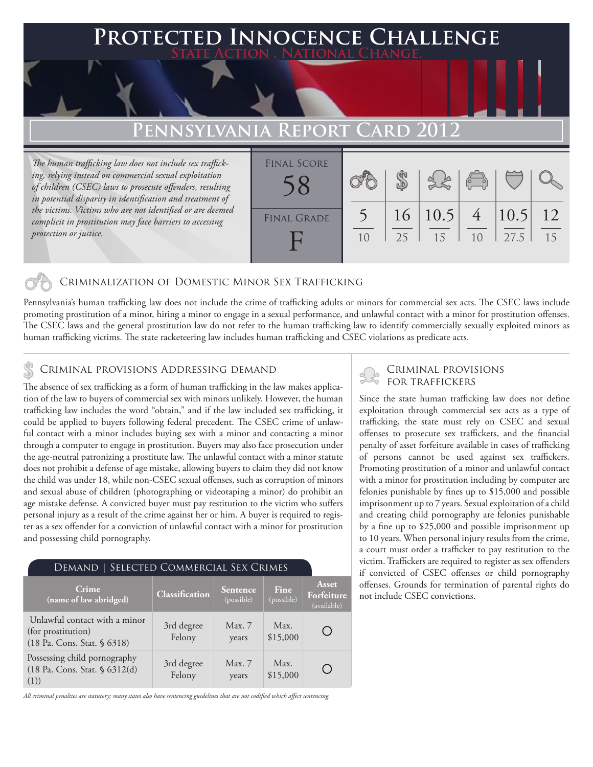# **FED INNOCENCE CHALLENGE State Action . National Change.**

## **Pennsylvania Report Card 2012**

*The human trafficking law does not include sex trafficking, relying instead on commercial sexual exploitation of children (CSEC) laws to prosecute offenders, resulting in potential disparity in identification and treatment of the victims. Victims who are not identified or are deemed complicit in prostitution may face barriers to accessing protection or justice.*



#### Criminalization of Domestic Minor Sex Trafficking

Pennsylvania's human trafficking law does not include the crime of trafficking adults or minors for commercial sex acts. The CSEC laws include promoting prostitution of a minor, hiring a minor to engage in a sexual performance, and unlawful contact with a minor for prostitution offenses. The CSEC laws and the general prostitution law do not refer to the human trafficking law to identify commercially sexually exploited minors as human trafficking victims. The state racketeering law includes human trafficking and CSEC violations as predicate acts.

#### Criminal provisions Addressing demand

The absence of sex trafficking as a form of human trafficking in the law makes application of the law to buyers of commercial sex with minors unlikely. However, the human trafficking law includes the word "obtain," and if the law included sex trafficking, it could be applied to buyers following federal precedent. The CSEC crime of unlawful contact with a minor includes buying sex with a minor and contacting a minor through a computer to engage in prostitution. Buyers may also face prosecution under the age-neutral patronizing a prostitute law. The unlawful contact with a minor statute does not prohibit a defense of age mistake, allowing buyers to claim they did not know the child was under 18, while non-CSEC sexual offenses, such as corruption of minors and sexual abuse of children (photographing or videotaping a minor) do prohibit an age mistake defense. A convicted buyer must pay restitution to the victim who suffers personal injury as a result of the crime against her or him. A buyer is required to register as a sex offender for a conviction of unlawful contact with a minor for prostitution and possessing child pornography.

#### Demand | Selected Commercial Sex Crimes

| Crime<br>$\sqrt{1}$ (name of law abridged)                                         | Classification       | Sentence,<br>(possible) | <b>Fine</b><br>(possible) | Asset<br>Forfeiture<br>(available) |
|------------------------------------------------------------------------------------|----------------------|-------------------------|---------------------------|------------------------------------|
| Unlawful contact with a minor<br>(for prostitution)<br>(18 Pa. Cons. Stat. § 6318) | 3rd degree<br>Felony | Max. 7<br>years         | Max.<br>\$15,000          |                                    |
| Possessing child pornography<br>(18 Pa. Cons. Stat. § 6312(d)<br>(1))              | 3rd degree<br>Felony | Max. 7<br>years         | Max.<br>\$15,000          |                                    |

*All criminal penalties are statutory; many states also have sentencing guidelines that are not codified which affect sentencing.* 

# Criminal provisions

Since the state human trafficking law does not define exploitation through commercial sex acts as a type of trafficking, the state must rely on CSEC and sexual offenses to prosecute sex traffickers, and the financial penalty of asset forfeiture available in cases of trafficking of persons cannot be used against sex traffickers. Promoting prostitution of a minor and unlawful contact with a minor for prostitution including by computer are felonies punishable by fines up to \$15,000 and possible imprisonment up to 7 years. Sexual exploitation of a child and creating child pornography are felonies punishable by a fine up to \$25,000 and possible imprisonment up to 10 years. When personal injury results from the crime, a court must order a trafficker to pay restitution to the victim. Traffickers are required to register as sex offenders if convicted of CSEC offenses or child pornography offenses. Grounds for termination of parental rights do not include CSEC convictions.